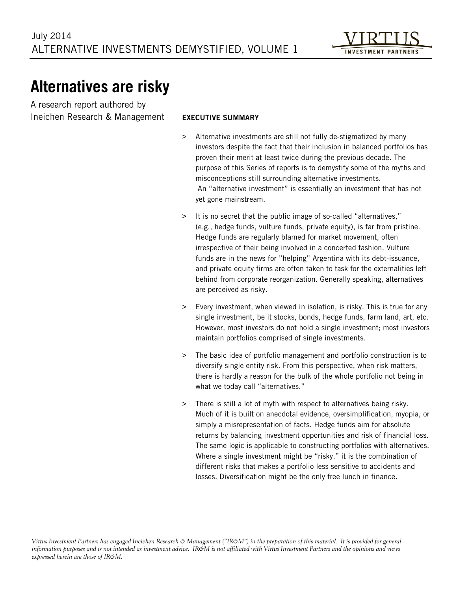# **Alternatives are risky**

A research report authored by Ineichen Research & Management

#### EXECUTIVE SUMMARY

- > Alternative investments are still not fully de-stigmatized by many investors despite the fact that their inclusion in balanced portfolios has proven their merit at least twice during the previous decade. The purpose of this Series of reports is to demystify some of the myths and misconceptions still surrounding alternative investments. An "alternative investment" is essentially an investment that has not yet gone mainstream.
- > It is no secret that the public image of so-called "alternatives," (e.g., hedge funds, vulture funds, private equity), is far from pristine. Hedge funds are regularly blamed for market movement, often irrespective of their being involved in a concerted fashion. Vulture funds are in the news for "helping" Argentina with its debt-issuance, and private equity firms are often taken to task for the externalities left behind from corporate reorganization. Generally speaking, alternatives are perceived as risky.
- > Every investment, when viewed in isolation, is risky. This is true for any single investment, be it stocks, bonds, hedge funds, farm land, art, etc. However, most investors do not hold a single investment; most investors maintain portfolios comprised of single investments.
- > The basic idea of portfolio management and portfolio construction is to diversify single entity risk. From this perspective, when risk matters, there is hardly a reason for the bulk of the whole portfolio not being in what we today call "alternatives."
- > There is still a lot of myth with respect to alternatives being risky. Much of it is built on anecdotal evidence, oversimplification, myopia, or simply a misrepresentation of facts. Hedge funds aim for absolute returns by balancing investment opportunities and risk of financial loss. The same logic is applicable to constructing portfolios with alternatives. Where a single investment might be "risky," it is the combination of different risks that makes a portfolio less sensitive to accidents and losses. Diversification might be the only free lunch in finance.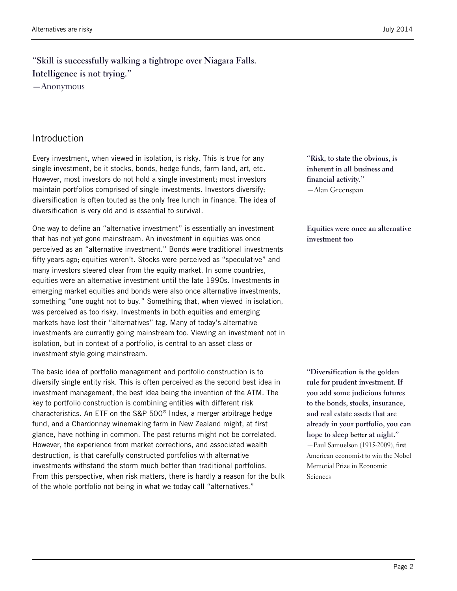# **"Skill is successfully walking a tightrope over Niagara Falls. Intelligence is not trying."**

**—**Anonymous

#### Introduction

Every investment, when viewed in isolation, is risky. This is true for any single investment, be it stocks, bonds, hedge funds, farm land, art, etc. However, most investors do not hold a single investment; most investors maintain portfolios comprised of single investments. Investors diversify; diversification is often touted as the only free lunch in finance. The idea of diversification is very old and is essential to survival.

One way to define an "alternative investment" is essentially an investment that has not yet gone mainstream. An investment in equities was once perceived as an "alternative investment." Bonds were traditional investments fifty years ago; equities weren't. Stocks were perceived as "speculative" and many investors steered clear from the equity market. In some countries, equities were an alternative investment until the late 1990s. Investments in emerging market equities and bonds were also once alternative investments, something "one ought not to buy." Something that, when viewed in isolation, was perceived as too risky. Investments in both equities and emerging markets have lost their "alternatives" tag. Many of today's alternative investments are currently going mainstream too. Viewing an investment not in isolation, but in context of a portfolio, is central to an asset class or investment style going mainstream.

The basic idea of portfolio management and portfolio construction is to diversify single entity risk. This is often perceived as the second best idea in investment management, the best idea being the invention of the ATM. The key to portfolio construction is combining entities with different risk characteristics. An ETF on the S&P 500® Index, a merger arbitrage hedge fund, and a Chardonnay winemaking farm in New Zealand might, at first glance, have nothing in common. The past returns might not be correlated. However, the experience from market corrections, and associated wealth destruction, is that carefully constructed portfolios with alternative investments withstand the storm much better than traditional portfolios. From this perspective, when risk matters, there is hardly a reason for the bulk of the whole portfolio not being in what we today call "alternatives."

**"Risk, to state the obvious, is inherent in all business and financial activity."** —Alan Greenspan

**Equities were once an alternative investment too**

**"Diversification is the golden rule for prudent investment. If you add some judicious futures to the bonds, stocks, insurance, and real estate assets that are already in your portfolio, you can hope to sleep better at night."** —Paul Samuelson (1915-2009), first American economist to win the Nobel Memorial Prize in Economic Sciences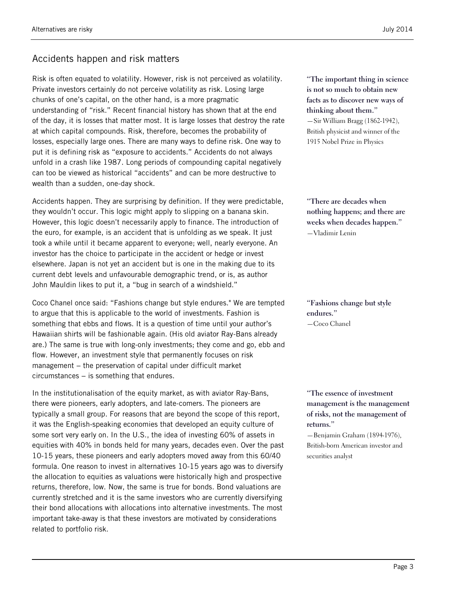# Accidents happen and risk matters

Risk is often equated to volatility. However, risk is not perceived as volatility. Private investors certainly do not perceive volatility as risk. Losing large chunks of one's capital, on the other hand, is a more pragmatic understanding of "risk." Recent financial history has shown that at the end of the day, it is losses that matter most. It is large losses that destroy the rate at which capital compounds. Risk, therefore, becomes the probability of losses, especially large ones. There are many ways to define risk. One way to put it is defining risk as "exposure to accidents." Accidents do not always unfold in a crash like 1987. Long periods of compounding capital negatively can too be viewed as historical "accidents" and can be more destructive to wealth than a sudden, one-day shock.

Accidents happen. They are surprising by definition. If they were predictable, they wouldn't occur. This logic might apply to slipping on a banana skin. However, this logic doesn't necessarily apply to finance. The introduction of the euro, for example, is an accident that is unfolding as we speak. It just took a while until it became apparent to everyone; well, nearly everyone. An investor has the choice to participate in the accident or hedge or invest elsewhere. Japan is not yet an accident but is one in the making due to its current debt levels and unfavourable demographic trend, or is, as author John Mauldin likes to put it, a "bug in search of a windshield."

Coco Chanel once said: "Fashions change but style endures." We are tempted to argue that this is applicable to the world of investments. Fashion is something that ebbs and flows. It is a question of time until your author's Hawaiian shirts will be fashionable again. (His old aviator Ray-Bans already are.) The same is true with long-only investments; they come and go, ebb and flow. However, an investment style that permanently focuses on risk management – the preservation of capital under difficult market circumstances − is something that endures.

In the institutionalisation of the equity market, as with aviator Ray-Bans, there were pioneers, early adopters, and late-comers. The pioneers are typically a small group. For reasons that are beyond the scope of this report, it was the English-speaking economies that developed an equity culture of some sort very early on. In the U.S., the idea of investing 60% of assets in equities with 40% in bonds held for many years, decades even. Over the past 10-15 years, these pioneers and early adopters moved away from this 60/40 formula. One reason to invest in alternatives 10-15 years ago was to diversify the allocation to equities as valuations were historically high and prospective returns, therefore, low. Now, the same is true for bonds. Bond valuations are currently stretched and it is the same investors who are currently diversifying their bond allocations with allocations into alternative investments. The most important take-away is that these investors are motivated by considerations related to portfolio risk.

**"The important thing in science is not so much to obtain new facts as to discover new ways of thinking about them."** —Sir William Bragg (1862-1942), British physicist and winner of the 1915 Nobel Prize in Physics

**"There are decades when nothing happens; and there are weeks when decades happen."** —Vladimir Lenin

**"Fashions change but style endures."** —Coco Chanel

**"The essence of investment management is the management of risks, not the management of returns."**

—Benjamin Graham (1894-1976), British-born American investor and securities analyst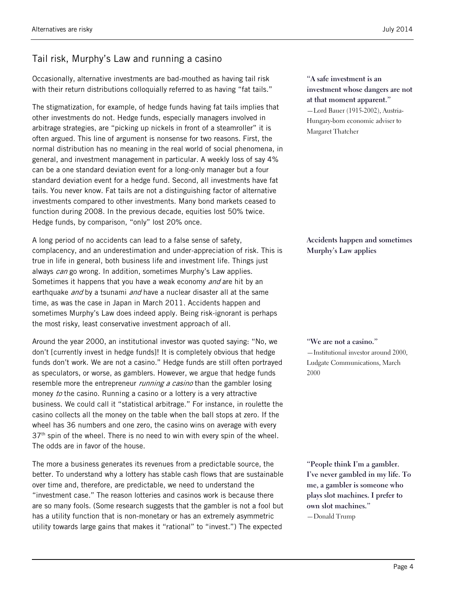### Tail risk, Murphy's Law and running a casino

Occasionally, alternative investments are bad-mouthed as having tail risk with their return distributions colloquially referred to as having "fat tails."

The stigmatization, for example, of hedge funds having fat tails implies that other investments do not. Hedge funds, especially managers involved in arbitrage strategies, are "picking up nickels in front of a steamroller" it is often argued. This line of argument is nonsense for two reasons. First, the normal distribution has no meaning in the real world of social phenomena, in general, and investment management in particular. A weekly loss of say 4% can be a one standard deviation event for a long-only manager but a four standard deviation event for a hedge fund. Second, all investments have fat tails. You never know. Fat tails are not a distinguishing factor of alternative investments compared to other investments. Many bond markets ceased to function during 2008. In the previous decade, equities lost 50% twice. Hedge funds, by comparison, "only" lost 20% once.

A long period of no accidents can lead to a false sense of safety, complacency, and an underestimation and under-appreciation of risk. This is true in life in general, both business life and investment life. Things just always can go wrong. In addition, sometimes Murphy's Law applies. Sometimes it happens that you have a weak economy and are hit by an earthquake *and* by a tsunami *and* have a nuclear disaster all at the same time, as was the case in Japan in March 2011. Accidents happen and sometimes Murphy's Law does indeed apply. Being risk-ignorant is perhaps the most risky, least conservative investment approach of all.

Around the year 2000, an institutional investor was quoted saying: "No, we don't [currently invest in hedge funds]! It is completely obvious that hedge funds don't work. We are not a casino." Hedge funds are still often portrayed as speculators, or worse, as gamblers. However, we argue that hedge funds resemble more the entrepreneur *running a casino* than the gambler losing money to the casino. Running a casino or a lottery is a very attractive business. We could call it "statistical arbitrage." For instance, in roulette the casino collects all the money on the table when the ball stops at zero. If the wheel has 36 numbers and one zero, the casino wins on average with every  $37<sup>th</sup>$  spin of the wheel. There is no need to win with every spin of the wheel. The odds are in favor of the house.

The more a business generates its revenues from a predictable source, the better. To understand why a lottery has stable cash flows that are sustainable over time and, therefore, are predictable, we need to understand the "investment case." The reason lotteries and casinos work is because there are so many fools. (Some research suggests that the gambler is not a fool but has a utility function that is non-monetary or has an extremely asymmetric utility towards large gains that makes it "rational" to "invest.") The expected

**"A safe investment is an investment whose dangers are not at that moment apparent."** —Lord Bauer (1915-2002), Austria-Hungary-born economic adviser to Margaret Thatcher

**Accidents happen and sometimes Murphy's Law applies**

**"We are not a casino."** —Institutional investor around 2000, Ludgate Communications, March 2000

**"People think I'm a gambler. I've never gambled in my life. To me, a gambler is someone who plays slot machines. I prefer to own slot machines."** —Donald Trump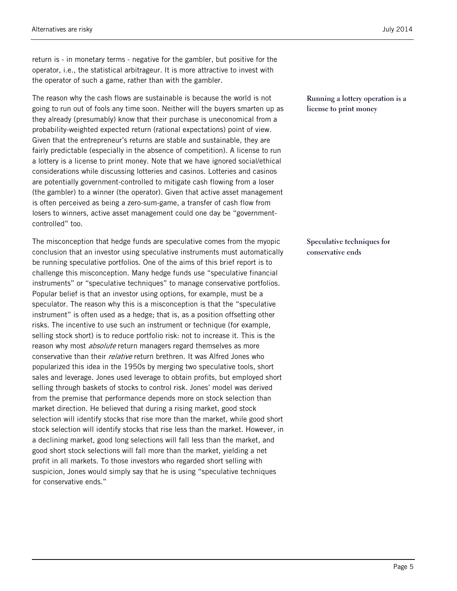return is - in monetary terms - negative for the gambler, but positive for the operator, i.e., the statistical arbitrageur. It is more attractive to invest with the operator of such a game, rather than with the gambler.

The reason why the cash flows are sustainable is because the world is not going to run out of fools any time soon. Neither will the buyers smarten up as they already (presumably) know that their purchase is uneconomical from a probability-weighted expected return (rational expectations) point of view. Given that the entrepreneur's returns are stable and sustainable, they are fairly predictable (especially in the absence of competition). A license to run a lottery is a license to print money. Note that we have ignored social/ethical considerations while discussing lotteries and casinos. Lotteries and casinos are potentially government-controlled to mitigate cash flowing from a loser (the gambler) to a winner (the operator). Given that active asset management is often perceived as being a zero-sum-game, a transfer of cash flow from losers to winners, active asset management could one day be "governmentcontrolled" too.

The misconception that hedge funds are speculative comes from the myopic conclusion that an investor using speculative instruments must automatically be running speculative portfolios. One of the aims of this brief report is to challenge this misconception. Many hedge funds use "speculative financial instruments" or "speculative techniques" to manage conservative portfolios. Popular belief is that an investor using options, for example, must be a speculator. The reason why this is a misconception is that the "speculative instrument" is often used as a hedge; that is, as a position offsetting other risks. The incentive to use such an instrument or technique (for example, selling stock short) is to reduce portfolio risk: not to increase it. This is the reason why most *absolute* return managers regard themselves as more conservative than their relative return brethren. It was Alfred Jones who popularized this idea in the 1950s by merging two speculative tools, short sales and leverage. Jones used leverage to obtain profits, but employed short selling through baskets of stocks to control risk. Jones' model was derived from the premise that performance depends more on stock selection than market direction. He believed that during a rising market, good stock selection will identify stocks that rise more than the market, while good short stock selection will identify stocks that rise less than the market. However, in a declining market, good long selections will fall less than the market, and good short stock selections will fall more than the market, yielding a net profit in all markets. To those investors who regarded short selling with suspicion, Jones would simply say that he is using "speculative techniques for conservative ends."

**Running a lottery operation is a license to print money**

**Speculative techniques for conservative ends**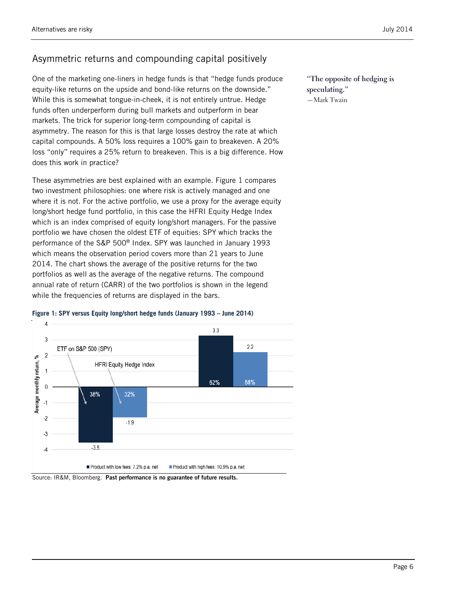## Asymmetric returns and compounding capital positively

One of the marketing one-liners in hedge funds is that "hedge funds produce equity-like returns on the upside and bond-like returns on the downside." While this is somewhat tongue-in-cheek, it is not entirely untrue. Hedge funds often underperform during bull markets and outperform in bear markets. The trick for superior long-term compounding of capital is asymmetry. The reason for this is that large losses destroy the rate at which capital compounds. A 50% loss requires a 100% gain to breakeven. A 20% loss "only" requires a 25% return to breakeven. This is a big difference. How does this work in practice?

These asymmetries are best explained with an example. [Figure 1](#page-5-0) compares two investment philosophies: one where risk is actively managed and one where it is not. For the active portfolio, we use a proxy for the average equity long/short hedge fund portfolio, in this case the HFRI Equity Hedge Index which is an index comprised of equity long/short managers. For the passive portfolio we have chosen the oldest ETF of equities: SPY which tracks the performance of the S&P 500® Index. SPY was launched in January 1993 which means the observation period covers more than 21 years to June 2014. The chart shows the average of the positive returns for the two portfolios as well as the average of the negative returns. The compound annual rate of return (CARR) of the two portfolios is shown in the legend while the frequencies of returns are displayed in the bars.

<span id="page-5-0"></span>



Source: IR&M, Bloomberg. Past performance is no guarantee of future results.

**"The opposite of hedging is speculating."** —Mark Twain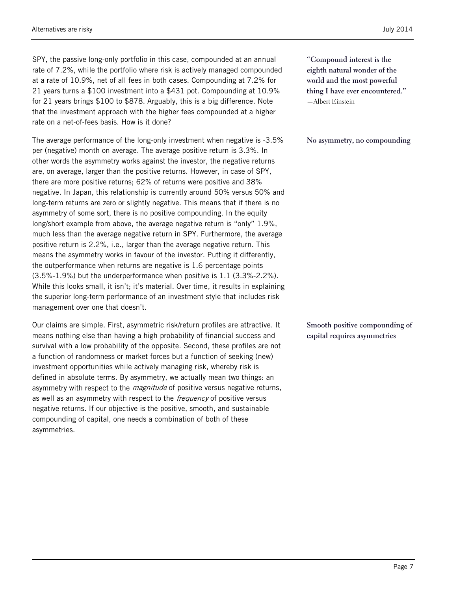SPY, the passive long-only portfolio in this case, compounded at an annual rate of 7.2%, while the portfolio where risk is actively managed compounded at a rate of 10.9%, net of all fees in both cases. Compounding at 7.2% for 21 years turns a \$100 investment into a \$431 pot. Compounding at 10.9% for 21 years brings \$100 to \$878. Arguably, this is a big difference. Note that the investment approach with the higher fees compounded at a higher rate on a net-of-fees basis. How is it done?

The average performance of the long-only investment when negative is -3.5% per (negative) month on average. The average positive return is 3.3%. In other words the asymmetry works against the investor, the negative returns are, on average, larger than the positive returns. However, in case of SPY, there are more positive returns; 62% of returns were positive and 38% negative. In Japan, this relationship is currently around 50% versus 50% and long-term returns are zero or slightly negative. This means that if there is no asymmetry of some sort, there is no positive compounding. In the equity long/short example from above, the average negative return is "only" 1.9%, much less than the average negative return in SPY. Furthermore, the average positive return is 2.2%, i.e., larger than the average negative return. This means the asymmetry works in favour of the investor. Putting it differently, the outperformance when returns are negative is 1.6 percentage points (3.5%-1.9%) but the underperformance when positive is 1.1 (3.3%-2.2%). While this looks small, it isn't; it's material. Over time, it results in explaining the superior long-term performance of an investment style that includes risk management over one that doesn't.

Our claims are simple. First, asymmetric risk/return profiles are attractive. It means nothing else than having a high probability of financial success and survival with a low probability of the opposite. Second, these profiles are not a function of randomness or market forces but a function of seeking (new) investment opportunities while actively managing risk, whereby risk is defined in absolute terms. By asymmetry, we actually mean two things: an asymmetry with respect to the *magnitude* of positive versus negative returns, as well as an asymmetry with respect to the frequency of positive versus negative returns. If our objective is the positive, smooth, and sustainable compounding of capital, one needs a combination of both of these asymmetries.

**"Compound interest is the eighth natural wonder of the world and the most powerful thing I have ever encountered."** —Albert Einstein

**No asymmetry, no compounding**

**Smooth positive compounding of capital requires asymmetries**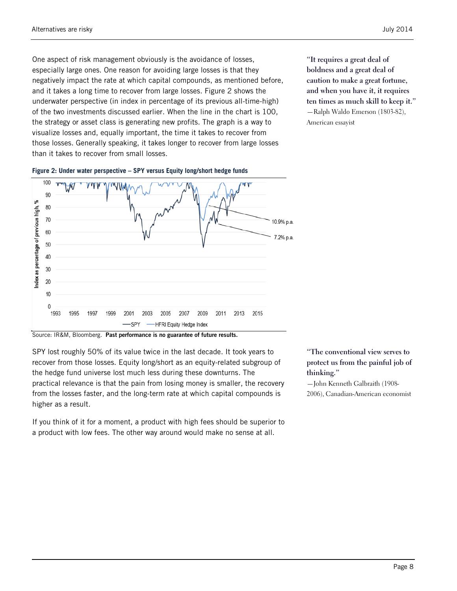One aspect of risk management obviously is the avoidance of losses, especially large ones. One reason for avoiding large losses is that they negatively impact the rate at which capital compounds, as mentioned before, and it takes a long time to recover from large losses. [Figure 2](#page-7-0) shows the underwater perspective (in index in percentage of its previous all-time-high) of the two investments discussed earlier. When the line in the chart is 100, the strategy or asset class is generating new profits. The graph is a way to visualize losses and, equally important, the time it takes to recover from those losses. Generally speaking, it takes longer to recover from large losses than it takes to recover from small losses.

**"It requires a great deal of boldness and a great deal of caution to make a great fortune, and when you have it, it requires ten times as much skill to keep it."** —Ralph Waldo Emerson (1803-82), American essayist



<span id="page-7-0"></span>**Figure 2: Under water perspective – SPY versus Equity long/short hedge funds**

Source: IR&M, Bloomberg. Past performance is no guarantee of future results.

SPY lost roughly 50% of its value twice in the last decade. It took years to recover from those losses. Equity long/short as an equity-related subgroup of the hedge fund universe lost much less during these downturns. The practical relevance is that the pain from losing money is smaller, the recovery from the losses faster, and the long-term rate at which capital compounds is higher as a result.

If you think of it for a moment, a product with high fees should be superior to a product with low fees. The other way around would make no sense at all.

**"The conventional view serves to protect us from the painful job of thinking."**

—John Kenneth Galbraith (1908- 2006), Canadian-American economist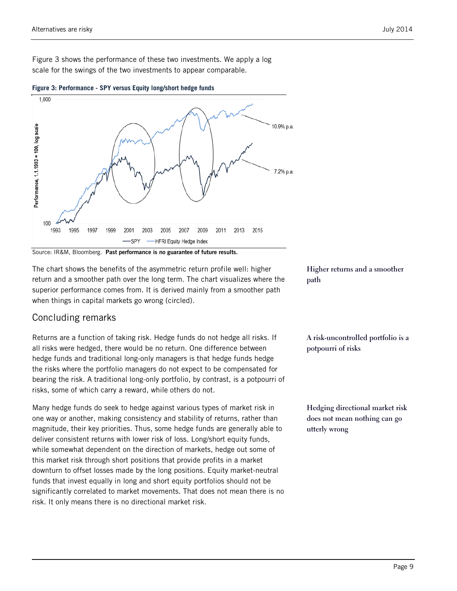[Figure 3](#page-8-0) shows the performance of these two investments. We apply a log scale for the swings of the two investments to appear comparable.



<span id="page-8-0"></span>**Figure 3: Performance - SPY versus Equity long/short hedge funds**

Source: IR&M, Bloomberg. Past performance is no guarantee of future results.

The chart shows the benefits of the asymmetric return profile well: higher return and a smoother path over the long term. The chart visualizes where the superior performance comes from. It is derived mainly from a smoother path when things in capital markets go wrong (circled).

#### Concluding remarks

Returns are a function of taking risk. Hedge funds do not hedge all risks. If all risks were hedged, there would be no return. One difference between hedge funds and traditional long-only managers is that hedge funds hedge the risks where the portfolio managers do not expect to be compensated for bearing the risk. A traditional long-only portfolio, by contrast, is a potpourri of risks, some of which carry a reward, while others do not.

Many hedge funds do seek to hedge against various types of market risk in one way or another, making consistency and stability of returns, rather than magnitude, their key priorities. Thus, some hedge funds are generally able to deliver consistent returns with lower risk of loss. Long/short equity funds, while somewhat dependent on the direction of markets, hedge out some of this market risk through short positions that provide profits in a market downturn to offset losses made by the long positions. Equity market-neutral funds that invest equally in long and short equity portfolios should not be significantly correlated to market movements. That does not mean there is no risk. It only means there is no directional market risk.

**Higher returns and a smoother path**

**A risk-uncontrolled portfolio is a potpourri of risks**

**Hedging directional market risk does not mean nothing can go utterly wrong**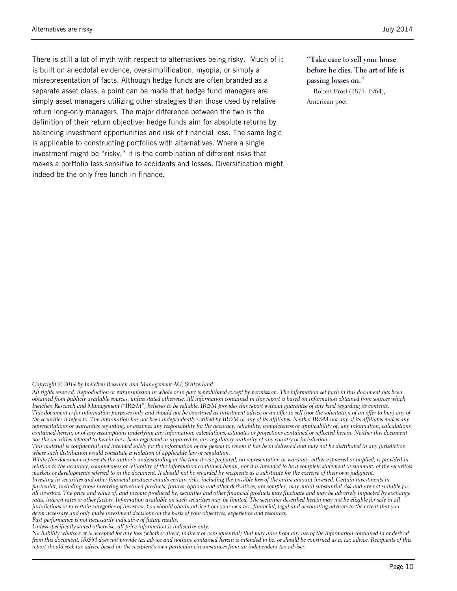There is still a lot of myth with respect to alternatives being risky. Much of it is built on anecdotal evidence, oversimplification, myopia, or simply a misrepresentation of facts. Although hedge funds are often branded as a separate asset class, a point can be made that hedge fund managers are simply asset managers utilizing other strategies than those used by relative return long-only managers. The major difference between the two is the definition of their return objective: hedge funds aim for absolute returns by balancing investment opportunities and risk of financial loss. The same logic is applicable to constructing portfolios with alternatives. Where a single investment might be "risky," it is the combination of different risks that makes a portfolio less sensitive to accidents and losses. Diversification might indeed be the only free lunch in finance.

**"Take care to sell your horse before he dies. The art of life is passing losses on."** —Robert Frost (1873–1964), American poet

#### *Copyright © 2014 by Ineichen Research and Management AG, Switzerland*

*All rights reserved. Reproduction or retransmission in whole or in part is prohibited except by permission. The information set forth in this document has been obtained from publicly available sources, unless stated otherwise. All information contained in this report is based on information obtained from sources which*  Ineichen Research and Management ("IR&M") believes to be reliable. IR&M provides this report without guarantee of any kind regarding its contents. *This document is for information purposes only and should not be construed as investment advice or an offer to sell (nor the solicitation of an offer to buy) any of*  the securities it refers to. The information has not been independently verified by IR&M or any of its affiliates. Neither IR&M nor any of its affiliates makes any *representations or warranties regarding, or assumes any responsibility for the accuracy, reliability, completeness or applicability of, any information, calculations contained herein, or of any assumptions underlying any information, calculations, estimates or projections contained or reflected herein. Neither this document nor the securities referred to herein have been registered or approved by any regulatory authority of any country or jurisdiction.*

*This material is confidential and intended solely for the information of the person to whom it has been delivered and may not be distributed in any jurisdiction where such distribution would constitute a violation of applicable law or regulation.*

*While this document represents the author's understanding at the time it was prepared, no representation or warranty, either expressed or implied, is provided in relation to the accuracy, completeness or reliability of the information contained herein, nor it is intended to be a complete statement or summary of the securities markets or developments referred to in the document. It should not be regarded by recipients as a substitute for the exercise of their own judgment.*

*Investing in securities and other financial products entails certain risks, including the possible loss of the entire amount invested. Certain investments in particular, including those involving structured products, futures, options and other derivatives, are complex, may entail substantial risk and are not suitable for all investors. The price and value of, and income produced by, securities and other financial products may fluctuate and may be adversely impacted by exchange rates, interest rates or other factors. Information available on such securities may be limited. The securities described herein may not be eligible for sale in all jurisdictions or to certain categories of investors. You should obtain advice from your own tax, financial, legal and accounting advisers to the extent that you deem necessary and only make investment decisions on the basis of your objectives, experience and resources.* 

*Past performance is not necessarily indicative of future results.*

*Unless specifically stated otherwise, all price information is indicative only.*

*No liability whatsoever is accepted for any loss (whether direct, indirect or consequential) that may arise from any use of the information contained in or derived from this document. IR&M does not provide tax advice and nothing contained herein is intended to be, or should be construed as a, tax advice. Recipients of this report should seek tax advice based on the recipient's own particular circumstances from an independent tax adviser.*